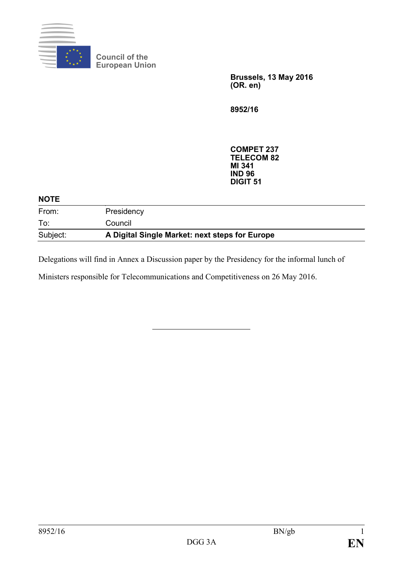

**Council of the European Union**

> **Brussels, 13 May 2016 (OR. en)**

**8952/16**

**COMPET 237 TELECOM 82 MI 341 IND 96 DIGIT 51**

| <b>NOTE</b> |                                                |  |
|-------------|------------------------------------------------|--|
| From:       | Presidency                                     |  |
| To:         | Council                                        |  |
| Subject:    | A Digital Single Market: next steps for Europe |  |

Delegations will find in Annex a Discussion paper by the Presidency for the informal lunch of

Ministers responsible for Telecommunications and Competitiveness on 26 May 2016.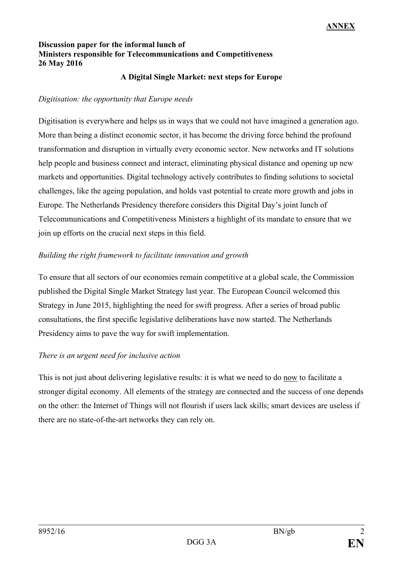### **Discussion paper for the informal lunch of Ministers responsible for Telecommunications and Competitiveness 26 May 2016**

#### **A Digital Single Market: next steps for Europe**

#### *Digitisation: the opportunity that Europe needs*

Digitisation is everywhere and helps us in ways that we could not have imagined a generation ago. More than being a distinct economic sector, it has become the driving force behind the profound transformation and disruption in virtually every economic sector. New networks and IT solutions help people and business connect and interact, eliminating physical distance and opening up new markets and opportunities. Digital technology actively contributes to finding solutions to societal challenges, like the ageing population, and holds vast potential to create more growth and jobs in Europe. The Netherlands Presidency therefore considers this Digital Day's joint lunch of Telecommunications and Competitiveness Ministers a highlight of its mandate to ensure that we join up efforts on the crucial next steps in this field.

### *Building the right framework to facilitate innovation and growth*

To ensure that all sectors of our economies remain competitive at a global scale, the Commission published the Digital Single Market Strategy last year. The European Council welcomed this Strategy in June 2015, highlighting the need for swift progress. After a series of broad public consultations, the first specific legislative deliberations have now started. The Netherlands Presidency aims to pave the way for swift implementation.

### *There is an urgent need for inclusive action*

This is not just about delivering legislative results: it is what we need to do now to facilitate a stronger digital economy. All elements of the strategy are connected and the success of one depends on the other: the Internet of Things will not flourish if users lack skills; smart devices are useless if there are no state-of-the-art networks they can rely on.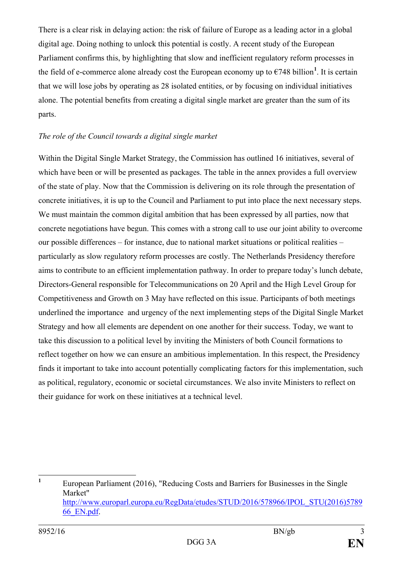There is a clear risk in delaying action: the risk of failure of Europe as a leading actor in a global digital age. Doing nothing to unlock this potential is costly. A recent study of the European Parliament confirms this, by highlighting that slow and inefficient regulatory reform processes in the field of e-commerce alone already cost the European economy up to  $\epsilon$ 748 billion<sup>[1](#page-2-0)</sup>. It is certain that we will lose jobs by operating as 28 isolated entities, or by focusing on individual initiatives alone. The potential benefits from creating a digital single market are greater than the sum of its parts.

### *The role of the Council towards a digital single market*

Within the Digital Single Market Strategy, the Commission has outlined 16 initiatives, several of which have been or will be presented as packages. The table in the annex provides a full overview of the state of play. Now that the Commission is delivering on its role through the presentation of concrete initiatives, it is up to the Council and Parliament to put into place the next necessary steps. We must maintain the common digital ambition that has been expressed by all parties, now that concrete negotiations have begun. This comes with a strong call to use our joint ability to overcome our possible differences – for instance, due to national market situations or political realities – particularly as slow regulatory reform processes are costly. The Netherlands Presidency therefore aims to contribute to an efficient implementation pathway. In order to prepare today's lunch debate, Directors-General responsible for Telecommunications on 20 April and the High Level Group for Competitiveness and Growth on 3 May have reflected on this issue. Participants of both meetings underlined the importance and urgency of the next implementing steps of the Digital Single Market Strategy and how all elements are dependent on one another for their success. Today, we want to take this discussion to a political level by inviting the Ministers of both Council formations to reflect together on how we can ensure an ambitious implementation. In this respect, the Presidency finds it important to take into account potentially complicating factors for this implementation, such as political, regulatory, economic or societal circumstances. We also invite Ministers to reflect on their guidance for work on these initiatives at a technical level.

<span id="page-2-0"></span><sup>&</sup>lt;sup>1</sup> European Parliament (2016), "Reducing Costs and Barriers for Businesses in the Single Market" [http://www.europarl.europa.eu/RegData/etudes/STUD/2016/578966/IPOL\\_STU\(2016\)5789](http://www.europarl.europa.eu/RegData/etudes/STUD/2016/578966/IPOL_STU(2016)578966_EN.pdf) [66\\_EN.pdf.](http://www.europarl.europa.eu/RegData/etudes/STUD/2016/578966/IPOL_STU(2016)578966_EN.pdf)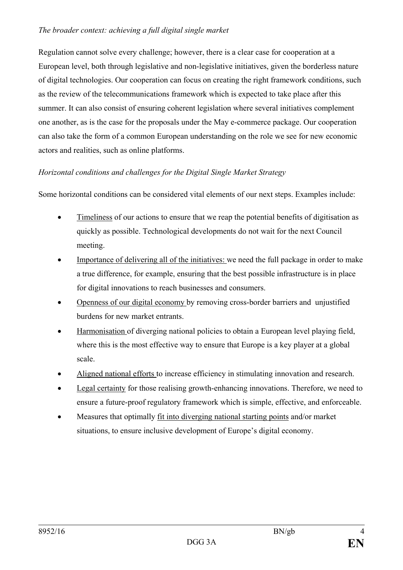### *The broader context: achieving a full digital single market*

Regulation cannot solve every challenge; however, there is a clear case for cooperation at a European level, both through legislative and non-legislative initiatives, given the borderless nature of digital technologies. Our cooperation can focus on creating the right framework conditions, such as the review of the telecommunications framework which is expected to take place after this summer. It can also consist of ensuring coherent legislation where several initiatives complement one another, as is the case for the proposals under the May e-commerce package. Our cooperation can also take the form of a common European understanding on the role we see for new economic actors and realities, such as online platforms.

# *Horizontal conditions and challenges for the Digital Single Market Strategy*

Some horizontal conditions can be considered vital elements of our next steps. Examples include:

- Timeliness of our actions to ensure that we reap the potential benefits of digitisation as quickly as possible. Technological developments do not wait for the next Council meeting.
- Importance of delivering all of the initiatives: we need the full package in order to make a true difference, for example, ensuring that the best possible infrastructure is in place for digital innovations to reach businesses and consumers.
- Openness of our digital economy by removing cross-border barriers and unjustified burdens for new market entrants.
- Harmonisation of diverging national policies to obtain a European level playing field, where this is the most effective way to ensure that Europe is a key player at a global scale.
- Aligned national efforts to increase efficiency in stimulating innovation and research.
- Legal certainty for those realising growth-enhancing innovations. Therefore, we need to ensure a future-proof regulatory framework which is simple, effective, and enforceable.
- Measures that optimally fit into diverging national starting points and/or market situations, to ensure inclusive development of Europe's digital economy.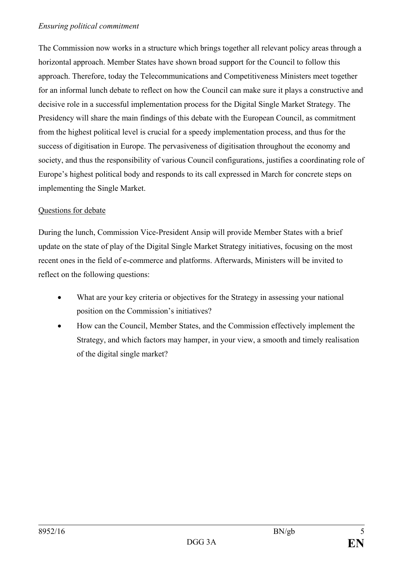The Commission now works in a structure which brings together all relevant policy areas through a horizontal approach. Member States have shown broad support for the Council to follow this approach. Therefore, today the Telecommunications and Competitiveness Ministers meet together for an informal lunch debate to reflect on how the Council can make sure it plays a constructive and decisive role in a successful implementation process for the Digital Single Market Strategy. The Presidency will share the main findings of this debate with the European Council, as commitment from the highest political level is crucial for a speedy implementation process, and thus for the success of digitisation in Europe. The pervasiveness of digitisation throughout the economy and society, and thus the responsibility of various Council configurations, justifies a coordinating role of Europe's highest political body and responds to its call expressed in March for concrete steps on implementing the Single Market.

## Questions for debate

During the lunch, Commission Vice-President Ansip will provide Member States with a brief update on the state of play of the Digital Single Market Strategy initiatives, focusing on the most recent ones in the field of e-commerce and platforms. Afterwards, Ministers will be invited to reflect on the following questions:

- What are your key criteria or objectives for the Strategy in assessing your national position on the Commission's initiatives?
- How can the Council, Member States, and the Commission effectively implement the Strategy, and which factors may hamper, in your view, a smooth and timely realisation of the digital single market?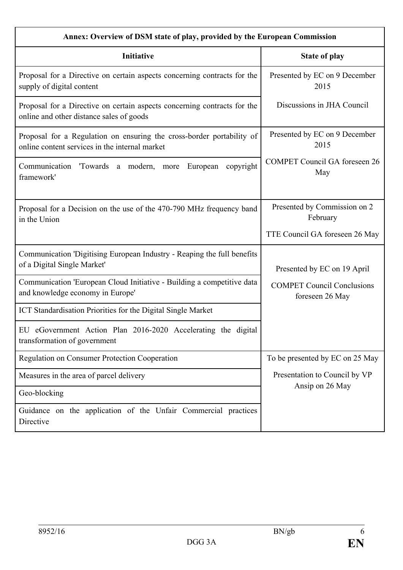| Annex: Overview of DSM state of play, provided by the European Commission                                               |                                                      |  |  |
|-------------------------------------------------------------------------------------------------------------------------|------------------------------------------------------|--|--|
| Initiative                                                                                                              | <b>State of play</b>                                 |  |  |
| Proposal for a Directive on certain aspects concerning contracts for the<br>supply of digital content                   | Presented by EC on 9 December<br>2015                |  |  |
| Proposal for a Directive on certain aspects concerning contracts for the<br>online and other distance sales of goods    | Discussions in JHA Council                           |  |  |
| Proposal for a Regulation on ensuring the cross-border portability of<br>online content services in the internal market | Presented by EC on 9 December<br>2015                |  |  |
| Communication<br>Towards a modern, more<br>copyright<br>European<br>framework'                                          | <b>COMPET Council GA foreseen 26</b><br>May          |  |  |
| Proposal for a Decision on the use of the 470-790 MHz frequency band<br>in the Union                                    | Presented by Commission on 2<br>February             |  |  |
|                                                                                                                         | TTE Council GA foreseen 26 May                       |  |  |
| Communication 'Digitising European Industry - Reaping the full benefits<br>of a Digital Single Market'                  | Presented by EC on 19 April                          |  |  |
| Communication 'European Cloud Initiative - Building a competitive data<br>and knowledge economy in Europe'              | <b>COMPET Council Conclusions</b><br>foreseen 26 May |  |  |
| ICT Standardisation Priorities for the Digital Single Market                                                            |                                                      |  |  |
| EU eGovernment Action Plan 2016-2020 Accelerating the digital<br>transformation of government                           |                                                      |  |  |
| <b>Regulation on Consumer Protection Cooperation</b>                                                                    | To be presented by EC on 25 May                      |  |  |
| Measures in the area of parcel delivery                                                                                 | Presentation to Council by VP                        |  |  |
| Geo-blocking                                                                                                            | Ansip on 26 May                                      |  |  |
| Guidance on the application of the Unfair Commercial practices<br>Directive                                             |                                                      |  |  |